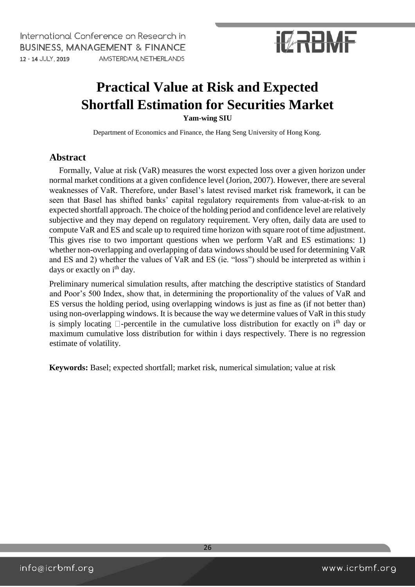# **IZRBMF**

### **Practical Value at Risk and Expected Shortfall Estimation for Securities Market**

**Yam-wing SIU** 

Department of Economics and Finance, the Hang Seng University of Hong Kong.

### **Abstract**

Formally, Value at risk (VaR) measures the worst expected loss over a given horizon under normal market conditions at a given confidence level (Jorion, 2007). However, there are several weaknesses of VaR. Therefore, under Basel's latest revised market risk framework, it can be seen that Basel has shifted banks' capital regulatory requirements from value-at-risk to an expected shortfall approach. The choice of the holding period and confidence level are relatively subjective and they may depend on regulatory requirement. Very often, daily data are used to compute VaR and ES and scale up to required time horizon with square root of time adjustment. This gives rise to two important questions when we perform VaR and ES estimations: 1) whether non-overlapping and overlapping of data windows should be used for determining VaR and ES and 2) whether the values of VaR and ES (ie. "loss") should be interpreted as within i days or exactly on i<sup>th</sup> day.

Preliminary numerical simulation results, after matching the descriptive statistics of Standard and Poor's 500 Index, show that, in determining the proportionality of the values of VaR and ES versus the holding period, using overlapping windows is just as fine as (if not better than) using non-overlapping windows. It is because the way we determine values of VaR in this study is simply locating  $\Box$ -percentile in the cumulative loss distribution for exactly on i<sup>th</sup> day or maximum cumulative loss distribution for within i days respectively. There is no regression estimate of volatility.

**Keywords:** Basel; expected shortfall; market risk, numerical simulation; value at risk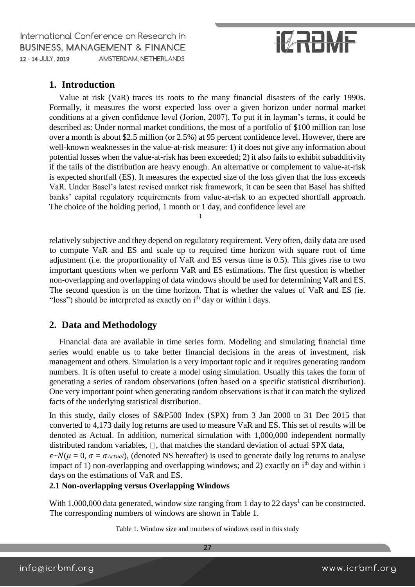# **IZRBMF**

### **1. Introduction**

Value at risk (VaR) traces its roots to the many financial disasters of the early 1990s. Formally, it measures the worst expected loss over a given horizon under normal market conditions at a given confidence level (Jorion, 2007). To put it in layman's terms, it could be described as: Under normal market conditions, the most of a portfolio of \$100 million can lose over a month is about \$2.5 million (or 2.5%) at 95 percent confidence level. However, there are well-known weaknesses in the value-at-risk measure: 1) it does not give any information about potential losses when the value-at-risk has been exceeded; 2) it also fails to exhibit subadditivity if the tails of the distribution are heavy enough. An alternative or complement to value-at-risk is expected shortfall (ES). It measures the expected size of the loss given that the loss exceeds VaR. Under Basel's latest revised market risk framework, it can be seen that Basel has shifted banks' capital regulatory requirements from value-at-risk to an expected shortfall approach. The choice of the holding period, 1 month or 1 day, and confidence level are

relatively subjective and they depend on regulatory requirement. Very often, daily data are used to compute VaR and ES and scale up to required time horizon with square root of time adjustment (i.e. the proportionality of VaR and ES versus time is 0.5). This gives rise to two important questions when we perform VaR and ES estimations. The first question is whether non-overlapping and overlapping of data windows should be used for determining VaR and ES. The second question is on the time horizon. That is whether the values of VaR and ES (ie. "loss") should be interpreted as exactly on i<sup>th</sup> day or within i days.

1

### **2. Data and Methodology**

Financial data are available in time series form. Modeling and simulating financial time series would enable us to take better financial decisions in the areas of investment, risk management and others. Simulation is a very important topic and it requires generating random numbers. It is often useful to create a model using simulation. Usually this takes the form of generating a series of random observations (often based on a specific statistical distribution). One very important point when generating random observations is that it can match the stylized facts of the underlying statistical distribution.

In this study, daily closes of S&P500 Index (SPX) from 3 Jan 2000 to 31 Dec 2015 that converted to 4,173 daily log returns are used to measure VaR and ES. This set of results will be denoted as Actual. In addition, numerical simulation with 1,000,000 independent normally distributed random variables,  $\Box$ , that matches the standard deviation of actual SPX data,

 $\varepsilon N(\mu = 0, \sigma = \sigma_{Actual})$ , (denoted NS hereafter) is used to generate daily log returns to analyse impact of 1) non-overlapping and overlapping windows; and 2) exactly on  $i<sup>th</sup>$  day and within i days on the estimations of VaR and ES.

### **2.1 Non-overlapping versus Overlapping Windows**

With 1,000,000 data generated, window size ranging from 1 day to 22 days<sup>1</sup> can be constructed. The corresponding numbers of windows are shown in Table 1.

Table 1. Window size and numbers of windows used in this study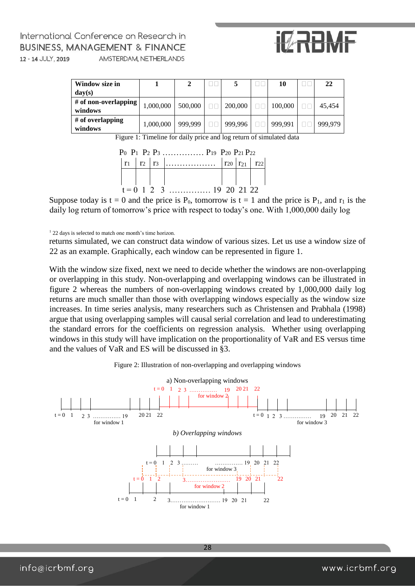# **IZRRMF**

| Window size in                  |           |         |         | 10      | 22      |
|---------------------------------|-----------|---------|---------|---------|---------|
| $\bf{d}$ av $(s)$               |           |         |         |         |         |
| # of non-overlapping<br>windows | ,000,000  | 500,000 | 200,000 | 100,000 | 45.454  |
| $#$ of overlapping<br>windows   | 000,000.1 | 999,999 | 999.996 | 999.991 | 999.979 |

Figure 1: Timeline for daily price and log return of simulated data



Suppose today is  $t = 0$  and the price is P<sub>0</sub>, tomorrow is  $t = 1$  and the price is P<sub>1</sub>, and r<sub>1</sub> is the daily log return of tomorrow's price with respect to today's one. With 1,000,000 daily log

<sup>1</sup> 22 days is selected to match one month's time horizon.

returns simulated, we can construct data window of various sizes. Let us use a window size of 22 as an example. Graphically, each window can be represented in figure 1.

With the window size fixed, next we need to decide whether the windows are non-overlapping or overlapping in this study. Non-overlapping and overlapping windows can be illustrated in figure 2 whereas the numbers of non-overlapping windows created by 1,000,000 daily log returns are much smaller than those with overlapping windows especially as the window size increases. In time series analysis, many researchers such as Christensen and Prabhala (1998) argue that using overlapping samples will causal serial correlation and lead to underestimating the standard errors for the coefficients on regression analysis. Whether using overlapping windows in this study will have implication on the proportionality of VaR and ES versus time and the values of VaR and ES will be discussed in §3.



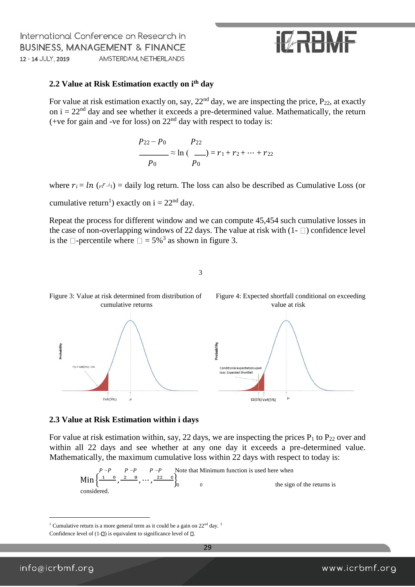### **IT RANE**

#### **2.2 Value at Risk Estimation exactly on ith day**

For value at risk estimation exactly on, say,  $22<sup>nd</sup>$  day, we are inspecting the price,  $P_{22}$ , at exactly on  $i = 22<sup>nd</sup>$  day and see whether it exceeds a pre-determined value. Mathematically, the return (+ve for gain and -ve for loss) on  $22<sup>nd</sup>$  day with respect to today is:

$$
P_{22} - P_0 \t P_{22}
$$
  
\n
$$
P_{0} \approx \ln (\t P_0) = r_1 + r_2 + \dots + r_{22}
$$

where  $r_i = ln(r_i - i_1) =$  daily log return. The loss can also be described as Cumulative Loss (or cumulative return<sup>1</sup>) exactly on  $i = 22<sup>nd</sup>$  day.

Repeat the process for different window and we can compute 45,454 such cumulative losses in the case of non-overlapping windows of 22 days. The value at risk with  $(1 - \Box)$  confidence level is the  $\Box$ -percentile where  $\Box$  = 5%<sup>3</sup> as shown in figure 3.

3



#### **2.3 Value at Risk Estimation within i days**

For value at risk estimation within, say, 22 days, we are inspecting the prices  $P_1$  to  $P_{22}$  over and within all 22 days and see whether at any one day it exceeds a pre-determined value. Mathematically, the maximum cumulative loss within 22 days with respect to today is:

Min 
$$
\left\{\frac{P-P}{10}, \frac{P-P}{20}, \dots, \frac{P-1}{20}\right\}_{0}
$$
 Note that Minimum function is used here when the sign of the returns is considered.

 $\overline{a}$ 

<sup>&</sup>lt;sup>1</sup> Cumulative return is a more general term as it could be a gain on  $22<sup>nd</sup>$  day.<sup>3</sup>

Confidence level of  $(1-\Box)$  is equivalent to significance level of  $\Box$ .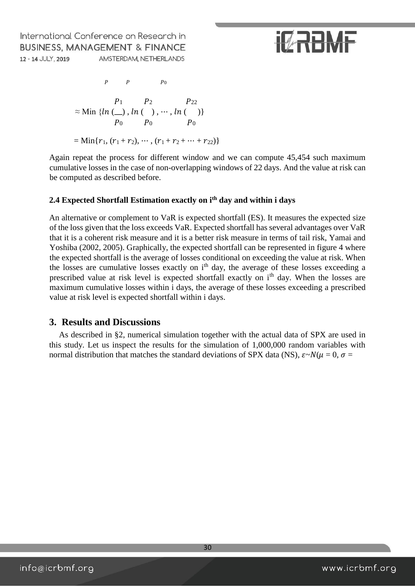# **IZRBMF**

 $P$   $P$   $P_0$  $P_1$   $P_2$   $P_{22}$  $\approx$  Min  $\{ln(\_\right)$ ,  $ln(\_\right)$ ,  $\cdots$ ,  $ln(\_\right)$  $P_0$   $P_0$   $P_0$  $=$  Min{ $r_1, (r_1 + r_2), \cdots, (r_1 + r_2 + \cdots + r_{22})$ }

Again repeat the process for different window and we can compute 45,454 such maximum cumulative losses in the case of non-overlapping windows of 22 days. And the value at risk can be computed as described before.

### **2.4 Expected Shortfall Estimation exactly on ith day and within i days**

An alternative or complement to VaR is expected shortfall (ES). It measures the expected size of the loss given that the loss exceeds VaR. Expected shortfall has several advantages over VaR that it is a coherent risk measure and it is a better risk measure in terms of tail risk, Yamai and Yoshiba (2002, 2005). Graphically, the expected shortfall can be represented in figure 4 where the expected shortfall is the average of losses conditional on exceeding the value at risk. When the losses are cumulative losses exactly on i<sup>th</sup> day, the average of these losses exceeding a prescribed value at risk level is expected shortfall exactly on i<sup>th</sup> day. When the losses are maximum cumulative losses within i days, the average of these losses exceeding a prescribed value at risk level is expected shortfall within i days.

### **3. Results and Discussions**

As described in §2, numerical simulation together with the actual data of SPX are used in this study. Let us inspect the results for the simulation of 1,000,000 random variables with normal distribution that matches the standard deviations of SPX data (NS),  $\varepsilon \sim N(\mu = 0, \sigma = 0)$ 

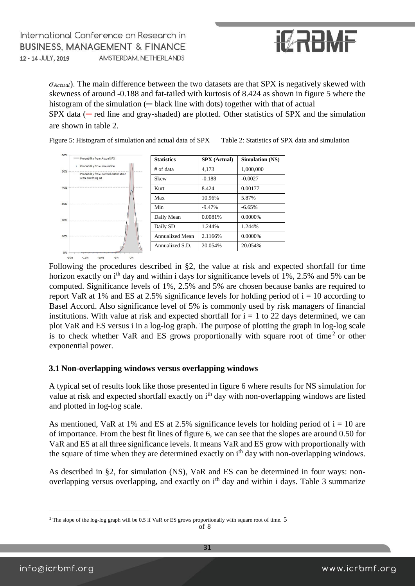

 $\sigma_{Actual}$ ). The main difference between the two datasets are that SPX is negatively skewed with skewness of around -0.188 and fat-tailed with kurtosis of 8.424 as shown in figure 5 where the histogram of the simulation (— black line with dots) together with that of actual  $SPX$  data ( $-$  red line and gray-shaded) are plotted. Other statistics of  $SPX$  and the simulation are shown in table 2.



Figure 5: Histogram of simulation and actual data of SPX Table 2: Statistics of SPX data and simulation

Following the procedures described in §2, the value at risk and expected shortfall for time horizon exactly on i<sup>th</sup> day and within i days for significance levels of 1%, 2.5% and 5% can be computed. Significance levels of 1%, 2.5% and 5% are chosen because banks are required to report VaR at 1% and ES at 2.5% significance levels for holding period of  $i = 10$  according to Basel Accord. Also significance level of 5% is commonly used by risk managers of financial institutions. With value at risk and expected shortfall for  $i = 1$  to 22 days determined, we can plot VaR and ES versus i in a log-log graph. The purpose of plotting the graph in log-log scale is to check whether VaR and ES grows proportionally with square root of time<sup>2</sup> or other exponential power.

#### **3.1 Non-overlapping windows versus overlapping windows**

A typical set of results look like those presented in figure 6 where results for NS simulation for value at risk and expected shortfall exactly on i<sup>th</sup> day with non-overlapping windows are listed and plotted in log-log scale.

As mentioned, VaR at 1% and ES at 2.5% significance levels for holding period of  $i = 10$  are of importance. From the best fit lines of figure 6, we can see that the slopes are around 0.50 for VaR and ES at all three significance levels. It means VaR and ES grow with proportionally with the square of time when they are determined exactly on i<sup>th</sup> day with non-overlapping windows.

As described in §2, for simulation (NS), VaR and ES can be determined in four ways: nonoverlapping versus overlapping, and exactly on i<sup>th</sup> day and within i days. Table 3 summarize

of 8

 $\overline{a}$ 

<sup>&</sup>lt;sup>2</sup> The slope of the log-log graph will be 0.5 if VaR or ES grows proportionally with square root of time. 5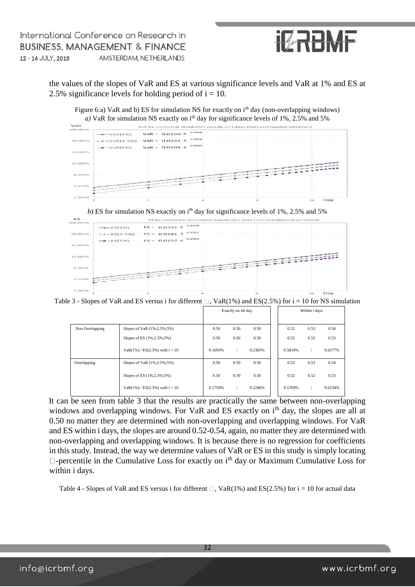

the values of the slopes of VaR and ES at various significance levels and VaR at 1% and ES at 2.5% significance levels for holding period of  $i = 10$ .

Figure 6:a) VaR and b) ES for simulation NS for exactly on i<sup>th</sup> day (non-overlapping windows) *a*) VaR for simulation NS exactly on  $i<sup>th</sup>$  day for significance levels of 1%, 2.5% and 5%



b) ES for simulation NS exactly on  $i<sup>th</sup>$  day for significance levels of 1%, 2.5% and 5%



Table 3 - Slopes of VaR and ES versus i for different  $\Box$ , VaR(1%) and ES(2.5%) for i = 10 for NS simulation

|                 |                                      | Exactly on ith day |      |         | Within i days |      |         |
|-----------------|--------------------------------------|--------------------|------|---------|---------------|------|---------|
| Non Overlapping | Slopes of VaR (1%;2.5%;5%)           | 0.50               | 0.50 | 0.50    | 0.52          | 0.53 | 0.54    |
|                 | Slopes of ES (1%;2.5%;5%)            | 0.50               | 0.50 | 0.50    | 0.52          | 0.52 | 0.53    |
|                 | $VaR(1\%) / ES(2.5\%)$ with $i = 10$ | 9.1693%            |      | 9.2383% | 9.5834%       |      | 9.6377% |
| Overlapping     | Slopes of VaR (1%;2.5%;5%)           | 0.50               | 0.50 | 0.50    | 0.52          | 0.53 | 0.54    |
|                 | Slopes of ES (1%;2.5%;5%)            | 0.50               | 0.50 | 0.50    | 0.52          | 0.52 | 0.53    |
|                 | $VaR(1\%) / ES(2.5\%)$ with $i = 10$ | 9.1750%            |      | 9.2246% | 9.5769%       |      | 9.6234% |

It can be seen from table 3 that the results are practically the same between non-overlapping windows and overlapping windows. For VaR and ES exactly on i<sup>th</sup> day, the slopes are all at 0.50 no matter they are determined with non-overlapping and overlapping windows. For VaR and ES within i days, the slopes are around 0.52-0.54, again, no matter they are determined with non-overlapping and overlapping windows. It is because there is no regression for coefficients in this study. Instead, the way we determine values of VaR or ES in this study is simply locating  $\Box$ -percentile in the Cumulative Loss for exactly on i<sup>th</sup> day or Maximum Cumulative Loss for within i days.

Table 4 - Slopes of VaR and ES versus i for different  $\Box$ , VaR(1%) and ES(2.5%) for i = 10 for actual data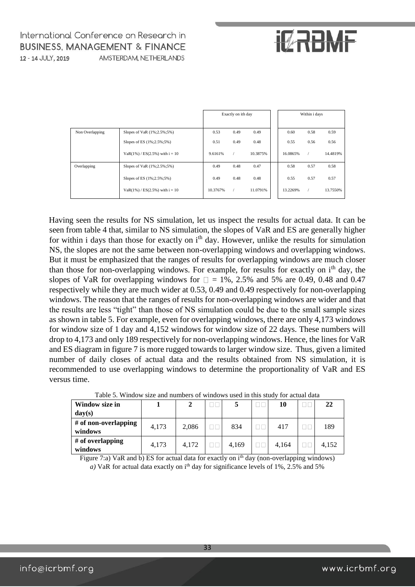# **IZRBMF**

|                 |                                      | Exactly on ith day |      |          | Within i days |      |          |
|-----------------|--------------------------------------|--------------------|------|----------|---------------|------|----------|
| Non Overlapping | Slopes of VaR (1%;2.5%;5%)           | 0.53               | 0.49 | 0.49     | 0.60          | 0.58 | 0.59     |
|                 | Slopes of ES (1%;2.5%;5%)            | 0.51               | 0.49 | 0.48     | 0.55          | 0.56 | 0.56     |
|                 | $VaR(1\%) / ES(2.5\%)$ with $i = 10$ | 9.6161%            |      | 10.3875% | 16.0865%      |      | 14.4819% |
| Overlapping     | Slopes of VaR (1%;2.5%;5%)           | 0.49               | 0.48 | 0.47     | 0.58          | 0.57 | 0.58     |
|                 | Slopes of ES (1%;2.5%;5%)            | 0.49               | 0.48 | 0.48     | 0.55          | 0.57 | 0.57     |
|                 | $VaR(1\%) / ES(2.5\%)$ with $i = 10$ | 10.3767%           |      | 11.0791% | 13.2269%      |      | 13.7550% |

Having seen the results for NS simulation, let us inspect the results for actual data. It can be seen from table 4 that, similar to NS simulation, the slopes of VaR and ES are generally higher for within i days than those for exactly on i<sup>th</sup> day. However, unlike the results for simulation NS, the slopes are not the same between non-overlapping windows and overlapping windows. But it must be emphasized that the ranges of results for overlapping windows are much closer than those for non-overlapping windows. For example, for results for exactly on i<sup>th</sup> day, the slopes of VaR for overlapping windows for  $\Box = 1\%$ , 2.5% and 5% are 0.49, 0.48 and 0.47 respectively while they are much wider at 0.53, 0.49 and 0.49 respectively for non-overlapping windows. The reason that the ranges of results for non-overlapping windows are wider and that the results are less "tight" than those of NS simulation could be due to the small sample sizes as shown in table 5. For example, even for overlapping windows, there are only 4,173 windows for window size of 1 day and 4,152 windows for window size of 22 days. These numbers will drop to 4,173 and only 189 respectively for non-overlapping windows. Hence, the lines for VaR and ES diagram in figure 7 is more rugged towards to larger window size. Thus, given a limited number of daily closes of actual data and the results obtained from NS simulation, it is recommended to use overlapping windows to determine the proportionality of VaR and ES versus time.

| Tuolo 3. Tringo w bilo ang hamoolo of wingo wo abog in tino biagy for actaur gata |       |       |  |       |  |       |  |       |  |
|-----------------------------------------------------------------------------------|-------|-------|--|-------|--|-------|--|-------|--|
| Window size in                                                                    |       |       |  |       |  | 10    |  | 22    |  |
| day(s)                                                                            |       |       |  |       |  |       |  |       |  |
| # of non-overlapping<br>windows                                                   | 4,173 | 2,086 |  | 834   |  | 417   |  | 189   |  |
| # of overlapping<br>windows                                                       | 4,173 | 4.172 |  | 4,169 |  | 4.164 |  | 4,152 |  |

Table 5. Window size and numbers of windows used in this study for actual data

Figure 7:a) VaR and b) ES for actual data for exactly on  $i<sup>th</sup>$  day (non-overlapping windows)  $a)$  VaR for actual data exactly on i<sup>th</sup> day for significance levels of 1%, 2.5% and 5%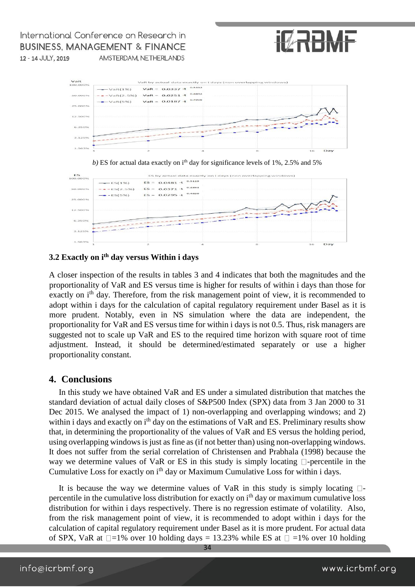

VaR VaR = 0.0337  $\cdot$ t 0.5312  $\rightarrow$  VaR(1%)  $\star$  -VaR(2.5%) VaR = 0.0251 -t <sup>0.4892</sup> 50.000% VaR =  $0.0187 \cdot t^{-0.4906}$  $\blacksquare$   $\vee$  aR(5%)  $12.5009$  $3.125$ 





### **3.2 Exactly on ith day versus Within i days**

A closer inspection of the results in tables 3 and 4 indicates that both the magnitudes and the proportionality of VaR and ES versus time is higher for results of within i days than those for exactly on i<sup>th</sup> day. Therefore, from the risk management point of view, it is recommended to adopt within i days for the calculation of capital regulatory requirement under Basel as it is more prudent. Notably, even in NS simulation where the data are independent, the proportionality for VaR and ES versus time for within i days is not 0.5. Thus, risk managers are suggested not to scale up VaR and ES to the required time horizon with square root of time adjustment. Instead, it should be determined/estimated separately or use a higher proportionality constant.

### **4. Conclusions**

In this study we have obtained VaR and ES under a simulated distribution that matches the standard deviation of actual daily closes of S&P500 Index (SPX) data from 3 Jan 2000 to 31 Dec 2015. We analysed the impact of 1) non-overlapping and overlapping windows; and 2) within i days and exactly on i<sup>th</sup> day on the estimations of VaR and ES. Preliminary results show that, in determining the proportionality of the values of VaR and ES versus the holding period, using overlapping windows is just as fine as (if not better than) using non-overlapping windows. It does not suffer from the serial correlation of Christensen and Prabhala (1998) because the way we determine values of VaR or ES in this study is simply locating  $\Box$ -percentile in the Cumulative Loss for exactly on i<sup>th</sup> day or Maximum Cumulative Loss for within i days.

It is because the way we determine values of VaR in this study is simply locating  $\Box$ percentile in the cumulative loss distribution for exactly on i<sup>th</sup> day or maximum cumulative loss distribution for within i days respectively. There is no regression estimate of volatility. Also, from the risk management point of view, it is recommended to adopt within i days for the calculation of capital regulatory requirement under Basel as it is more prudent. For actual data of SPX, VaR at  $\Box$ =1% over 10 holding days = 13.23% while ES at  $\Box$  =1% over 10 holding

34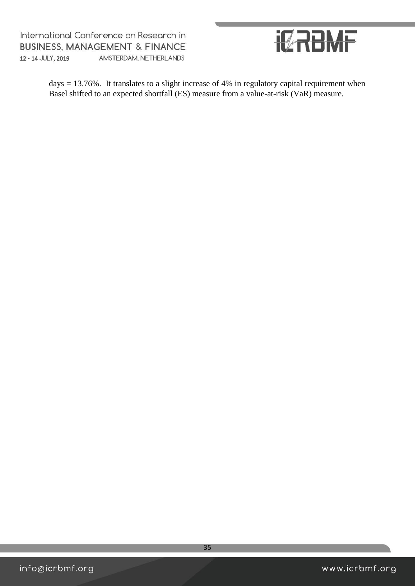

days = 13.76%. It translates to a slight increase of 4% in regulatory capital requirement when Basel shifted to an expected shortfall (ES) measure from a value-at-risk (VaR) measure.